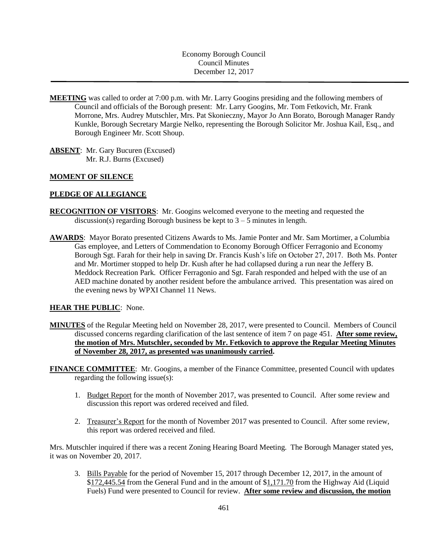Economy Borough Council Council Minutes December 12, 2017

- **MEETING** was called to order at 7:00 p.m. with Mr. Larry Googins presiding and the following members of Council and officials of the Borough present: Mr. Larry Googins, Mr. Tom Fetkovich, Mr. Frank Morrone, Mrs. Audrey Mutschler, Mrs. Pat Skonieczny, Mayor Jo Ann Borato, Borough Manager Randy Kunkle, Borough Secretary Margie Nelko, representing the Borough Solicitor Mr. Joshua Kail, Esq., and Borough Engineer Mr. Scott Shoup.
- **ABSENT**: Mr. Gary Bucuren (Excused) Mr. R.J. Burns (Excused)

# **MOMENT OF SILENCE**

## **PLEDGE OF ALLEGIANCE**

- **RECOGNITION OF VISITORS**: Mr. Googins welcomed everyone to the meeting and requested the discussion(s) regarding Borough business be kept to  $3 - 5$  minutes in length.
- **AWARDS**: Mayor Borato presented Citizens Awards to Ms. Jamie Ponter and Mr. Sam Mortimer, a Columbia Gas employee, and Letters of Commendation to Economy Borough Officer Ferragonio and Economy Borough Sgt. Farah for their help in saving Dr. Francis Kush's life on October 27, 2017. Both Ms. Ponter and Mr. Mortimer stopped to help Dr. Kush after he had collapsed during a run near the Jeffery B. Meddock Recreation Park. Officer Ferragonio and Sgt. Farah responded and helped with the use of an AED machine donated by another resident before the ambulance arrived. This presentation was aired on the evening news by WPXI Channel 11 News.

## **HEAR THE PUBLIC**: None.

- **MINUTES** of the Regular Meeting held on November 28, 2017, were presented to Council. Members of Council discussed concerns regarding clarification of the last sentence of item 7 on page 451. **After some review, the motion of Mrs. Mutschler, seconded by Mr. Fetkovich to approve the Regular Meeting Minutes of November 28, 2017, as presented was unanimously carried.**
- **FINANCE COMMITTEE**: Mr. Googins, a member of the Finance Committee, presented Council with updates regarding the following issue(s):
	- 1. Budget Report for the month of November 2017, was presented to Council. After some review and discussion this report was ordered received and filed.
	- 2. Treasurer's Report for the month of November 2017 was presented to Council. After some review, this report was ordered received and filed.

Mrs. Mutschler inquired if there was a recent Zoning Hearing Board Meeting. The Borough Manager stated yes, it was on November 20, 2017.

3. Bills Payable for the period of November 15, 2017 through December 12, 2017, in the amount of \$172,445.54 from the General Fund and in the amount of \$1,171.70 from the Highway Aid (Liquid Fuels) Fund were presented to Council for review. **After some review and discussion, the motion**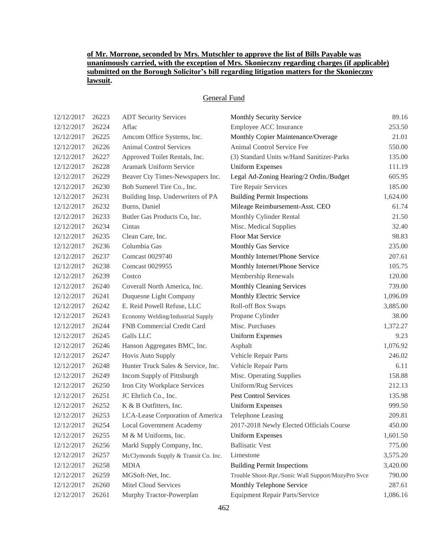# **of Mr. Morrone, seconded by Mrs. Mutschler to approve the list of Bills Payable was unanimously carried, with the exception of Mrs. Skonieczny regarding charges (if applicable) submitted on the Borough Solicitor's bill regarding litigation matters for the Skonieczny lawsuit.**

## General Fund

| 12/12/2017 | 26223 | <b>ADT Security Services</b>         | Monthly Security Service                           | 89.16    |
|------------|-------|--------------------------------------|----------------------------------------------------|----------|
| 12/12/2017 | 26224 | Aflac                                | Employee ACC Insurance                             | 253.50   |
| 12/12/2017 | 26225 | Amcom Office Systems, Inc.           | Monthly Copier Maintenance/Overage                 | 21.01    |
| 12/12/2017 | 26226 | <b>Animal Control Services</b>       | Animal Control Service Fee                         | 550.00   |
| 12/12/2017 | 26227 | Approved Toilet Rentals, Inc.        | (3) Standard Units w/Hand Sanitizer-Parks          | 135.00   |
| 12/12/2017 | 26228 | Aramark Uniform Service              | <b>Uniform Expenses</b>                            | 111.19   |
| 12/12/2017 | 26229 | Beaver Cty Times-Newspapers Inc.     | Legal Ad-Zoning Hearing/2 Ordin./Budget            | 605.95   |
| 12/12/2017 | 26230 | Bob Sumerel Tire Co., Inc.           | Tire Repair Services                               | 185.00   |
| 12/12/2017 | 26231 | Building Insp. Underwriters of PA    | <b>Building Permit Inspections</b>                 | 1,624.00 |
| 12/12/2017 | 26232 | Burns, Daniel                        | Mileage Reimbursement-Asst. CEO                    | 61.74    |
| 12/12/2017 | 26233 | Butler Gas Products Co, Inc.         | Monthly Cylinder Rental                            | 21.50    |
| 12/12/2017 | 26234 | Cintas                               | Misc. Medical Supplies                             | 32.40    |
| 12/12/2017 | 26235 | Clean Care, Inc.                     | Floor Mat Service                                  | 98.83    |
| 12/12/2017 | 26236 | Columbia Gas                         | Monthly Gas Service                                | 235.00   |
| 12/12/2017 | 26237 | Comcast 0029740                      | Monthly Internet/Phone Service                     | 207.61   |
| 12/12/2017 | 26238 | Comcast 0029955                      | Monthly Internet/Phone Service                     | 105.75   |
| 12/12/2017 | 26239 | Costco                               | Membership Renewals                                | 120.00   |
| 12/12/2017 | 26240 | Coverall North America, Inc.         | <b>Monthly Cleaning Services</b>                   | 739.00   |
| 12/12/2017 | 26241 | Duquesne Light Company               | Monthly Electric Service                           | 1,096.09 |
| 12/12/2017 | 26242 | E. Reid Powell Refuse, LLC           | Roll-off Box Swaps                                 | 3,885.00 |
| 12/12/2017 | 26243 | Economy Welding/Industrial Supply    | Propane Cylinder                                   | 38.00    |
| 12/12/2017 | 26244 | FNB Commercial Credit Card           | Misc. Purchases                                    | 1,372.27 |
| 12/12/2017 | 26245 | Galls LLC                            | <b>Uniform Expenses</b>                            | 9.23     |
| 12/12/2017 | 26246 | Hanson Aggregates BMC, Inc.          | Asphalt                                            | 1,076.92 |
| 12/12/2017 | 26247 | Hovis Auto Supply                    | Vehicle Repair Parts                               | 246.02   |
| 12/12/2017 | 26248 | Hunter Truck Sales & Service, Inc.   | Vehicle Repair Parts                               | 6.11     |
| 12/12/2017 | 26249 | Incom Supply of Pittsburgh           | Misc. Operating Supplies                           | 158.88   |
| 12/12/2017 | 26250 | Iron City Workplace Services         | Uniform/Rug Services                               | 212.13   |
| 12/12/2017 | 26251 | JC Ehrlich Co., Inc.                 | Pest Control Services                              | 135.98   |
| 12/12/2017 | 26252 | K & B Outfitters, Inc.               | <b>Uniform Expenses</b>                            | 999.50   |
| 12/12/2017 | 26253 | LCA-Lease Corporation of America     | Telephone Leasing                                  | 209.81   |
| 12/12/2017 | 26254 | Local Government Academy             | 2017-2018 Newly Elected Officials Course           | 450.00   |
| 12/12/2017 | 26255 | M & M Uniforms, Inc.                 | <b>Uniform Expenses</b>                            | 1,601.50 |
| 12/12/2017 | 26256 | Markl Supply Company, Inc.           | <b>Ballisatic Vest</b>                             | 775.00   |
| 12/12/2017 | 26257 | McClymonds Supply & Transit Co. Inc. | Limestone                                          | 3,575.20 |
| 12/12/2017 | 26258 | <b>MDIA</b>                          | <b>Building Permit Inspections</b>                 | 3,420.00 |
| 12/12/2017 | 26259 | MGSoft-Net, Inc.                     | Trouble Shoot-Rpr./Sonic Wall Support/MozyPro Svce | 790.00   |
| 12/12/2017 | 26260 | Mitel Cloud Services                 | Monthly Telephone Service                          | 287.61   |
| 12/12/2017 | 26261 | Murphy Tractor-Powerplan             | Equipment Repair Parts/Service                     | 1,086.16 |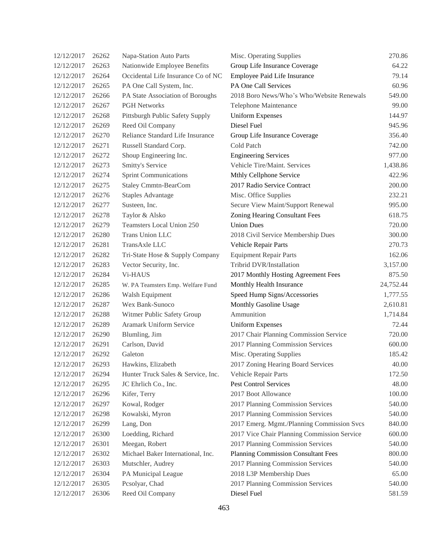| 12/12/2017 | 26262 | Napa-Station Auto Parts            | Misc. Operating Supplies                    | 270.86    |
|------------|-------|------------------------------------|---------------------------------------------|-----------|
| 12/12/2017 | 26263 | Nationwide Employee Benefits       | Group Life Insurance Coverage               | 64.22     |
| 12/12/2017 | 26264 | Occidental Life Insurance Co of NC | Employee Paid Life Insurance                | 79.14     |
| 12/12/2017 | 26265 | PA One Call System, Inc.           | PA One Call Services                        | 60.96     |
| 12/12/2017 | 26266 | PA State Association of Boroughs   | 2018 Boro News/Who's Who/Website Renewals   | 549.00    |
| 12/12/2017 | 26267 | <b>PGH Networks</b>                | <b>Telephone Maintenance</b>                | 99.00     |
| 12/12/2017 | 26268 | Pittsburgh Public Safety Supply    | <b>Uniform Expenses</b>                     | 144.97    |
| 12/12/2017 | 26269 | Reed Oil Company                   | Diesel Fuel                                 | 945.96    |
| 12/12/2017 | 26270 | Reliance Standard Life Insurance   | Group Life Insurance Coverage               | 356.40    |
| 12/12/2017 | 26271 | Russell Standard Corp.             | Cold Patch                                  | 742.00    |
| 12/12/2017 | 26272 | Shoup Engineering Inc.             | <b>Engineering Services</b>                 | 977.00    |
| 12/12/2017 | 26273 | Smitty's Service                   | Vehicle Tire/Maint. Services                | 1,438.86  |
| 12/12/2017 | 26274 | <b>Sprint Communications</b>       | Mthly Cellphone Service                     | 422.96    |
| 12/12/2017 | 26275 | <b>Staley Cmmtn-BearCom</b>        | 2017 Radio Service Contract                 | 200.00    |
| 12/12/2017 | 26276 | <b>Staples Advantage</b>           | Misc. Office Supplies                       | 232.21    |
| 12/12/2017 | 26277 | Susteen, Inc.                      | Secure View Maint/Support Renewal           | 995.00    |
| 12/12/2017 | 26278 | Taylor & Alsko                     | Zoning Hearing Consultant Fees              | 618.75    |
| 12/12/2017 | 26279 | Teamsters Local Union 250          | <b>Union Dues</b>                           | 720.00    |
| 12/12/2017 | 26280 | Trans Union LLC                    | 2018 Civil Service Membership Dues          | 300.00    |
| 12/12/2017 | 26281 | TransAxle LLC                      | Vehicle Repair Parts                        | 270.73    |
| 12/12/2017 | 26282 | Tri-State Hose & Supply Company    | <b>Equipment Repair Parts</b>               | 162.06    |
| 12/12/2017 | 26283 | Vector Security, Inc.              | Tribrid DVR/Installation                    | 3,157.00  |
| 12/12/2017 | 26284 | Vi-HAUS                            | 2017 Monthly Hosting Agreement Fees         | 875.50    |
| 12/12/2017 | 26285 | W. PA Teamsters Emp. Welfare Fund  | Monthly Health Insurance                    | 24,752.44 |
| 12/12/2017 | 26286 | Walsh Equipment                    | Speed Hump Signs/Accessories                | 1,777.55  |
| 12/12/2017 | 26287 | Wex Bank-Sunoco                    | Monthly Gasoline Usage                      | 2,610.81  |
| 12/12/2017 | 26288 | Witmer Public Safety Group         | Ammunition                                  | 1,714.84  |
| 12/12/2017 | 26289 | Aramark Uniform Service            | <b>Uniform Expenses</b>                     | 72.44     |
| 12/12/2017 | 26290 | Blumling, Jim                      | 2017 Chair Planning Commission Service      | 720.00    |
| 12/12/2017 | 26291 | Carlson, David                     | 2017 Planning Commission Services           | 600.00    |
| 12/12/2017 | 26292 | Galeton                            | Misc. Operating Supplies                    | 185.42    |
| 12/12/2017 | 26293 | Hawkins, Elizabeth                 | 2017 Zoning Hearing Board Services          | 40.00     |
| 12/12/2017 | 26294 | Hunter Truck Sales & Service, Inc. | <b>Vehicle Repair Parts</b>                 | 172.50    |
| 12/12/2017 | 26295 | JC Ehrlich Co., Inc.               | Pest Control Services                       | 48.00     |
| 12/12/2017 | 26296 | Kifer, Terry                       | 2017 Boot Allowance                         | 100.00    |
| 12/12/2017 | 26297 | Kowal, Rodger                      | 2017 Planning Commission Services           | 540.00    |
| 12/12/2017 | 26298 | Kowalski, Myron                    | 2017 Planning Commission Services           | 540.00    |
| 12/12/2017 | 26299 | Lang, Don                          | 2017 Emerg. Mgmt./Planning Commission Svcs  | 840.00    |
| 12/12/2017 | 26300 | Loedding, Richard                  | 2017 Vice Chair Planning Commission Service | 600.00    |
| 12/12/2017 | 26301 | Meegan, Robert                     | 2017 Planning Commission Services           | 540.00    |
| 12/12/2017 | 26302 | Michael Baker International, Inc.  | <b>Planning Commission Consultant Fees</b>  | 800.00    |
| 12/12/2017 | 26303 | Mutschler, Audrey                  | 2017 Planning Commission Services           | 540.00    |
| 12/12/2017 | 26304 | PA Municipal League                | 2018 L3P Membership Dues                    | 65.00     |
| 12/12/2017 | 26305 | Pcsolyar, Chad                     | 2017 Planning Commission Services           | 540.00    |
| 12/12/2017 | 26306 | Reed Oil Company                   | Diesel Fuel                                 | 581.59    |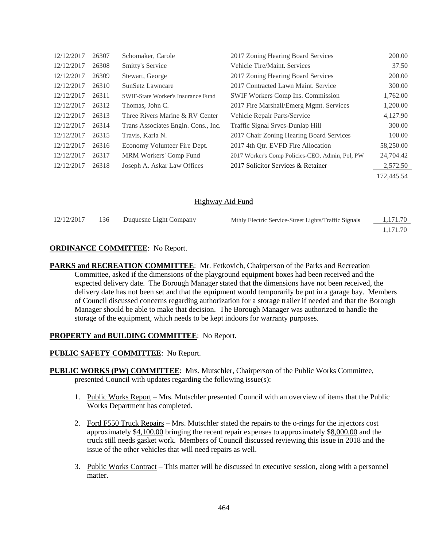| 12/12/2017 | 26307 | Schomaker, Carole                         | 2017 Zoning Hearing Board Services              | 200.00     |
|------------|-------|-------------------------------------------|-------------------------------------------------|------------|
| 12/12/2017 | 26308 | Smitty's Service                          | Vehicle Tire/Maint. Services                    | 37.50      |
| 12/12/2017 | 26309 | Stewart, George                           | 2017 Zoning Hearing Board Services              | 200.00     |
| 12/12/2017 | 26310 | SunSetz Lawncare                          | 2017 Contracted Lawn Maint. Service             | 300.00     |
| 12/12/2017 | 26311 | <b>SWIF-State Worker's Insurance Fund</b> | <b>SWIF Workers Comp Ins. Commission</b>        | 1,762.00   |
| 12/12/2017 | 26312 | Thomas, John C.                           | 2017 Fire Marshall/Emerg Mgmt. Services         | 1,200.00   |
| 12/12/2017 | 26313 | Three Rivers Marine & RV Center           | Vehicle Repair Parts/Service                    | 4,127.90   |
| 12/12/2017 | 26314 | Trans Associates Engin. Cons., Inc.       | Traffic Signal Srvcs-Dunlap Hill                | 300.00     |
| 12/12/2017 | 26315 | Travis, Karla N.                          | 2017 Chair Zoning Hearing Board Services        | 100.00     |
| 12/12/2017 | 26316 | Economy Volunteer Fire Dept.              | 2017 4th Otr. EVFD Fire Allocation              | 58,250.00  |
| 12/12/2017 | 26317 | MRM Workers' Comp Fund                    | 2017 Worker's Comp Policies-CEO, Admin, Pol, PW | 24,704.42  |
| 12/12/2017 | 26318 | Joseph A. Askar Law Offices               | 2017 Solicitor Services & Retainer              | 2,572.50   |
|            |       |                                           |                                                 | 172.445.54 |

## Highway Aid Fund

| 12/12/2017 | 136 | Duquesne Light Company | Mthly Electric Service-Street Lights/Traffic Signals | 1,171.70 |
|------------|-----|------------------------|------------------------------------------------------|----------|
|            |     |                        |                                                      | 1.171.70 |

### **ORDINANCE COMMITTEE**: No Report.

**PARKS and RECREATION COMMITTEE**: Mr. Fetkovich, Chairperson of the Parks and Recreation Committee, asked if the dimensions of the playground equipment boxes had been received and the expected delivery date. The Borough Manager stated that the dimensions have not been received, the delivery date has not been set and that the equipment would temporarily be put in a garage bay. Members of Council discussed concerns regarding authorization for a storage trailer if needed and that the Borough Manager should be able to make that decision. The Borough Manager was authorized to handle the storage of the equipment, which needs to be kept indoors for warranty purposes.

### **PROPERTY and BUILDING COMMITTEE**: No Report.

### **PUBLIC SAFETY COMMITTEE**: No Report.

- **PUBLIC WORKS (PW) COMMITTEE**: Mrs. Mutschler, Chairperson of the Public Works Committee, presented Council with updates regarding the following issue(s):
	- 1. Public Works Report Mrs. Mutschler presented Council with an overview of items that the Public Works Department has completed.
	- 2. Ford F550 Truck Repairs Mrs. Mutschler stated the repairs to the o-rings for the injectors cost approximately \$4,100.00 bringing the recent repair expenses to approximately \$8,000.00 and the truck still needs gasket work. Members of Council discussed reviewing this issue in 2018 and the issue of the other vehicles that will need repairs as well.
	- 3. Public Works Contract This matter will be discussed in executive session, along with a personnel matter.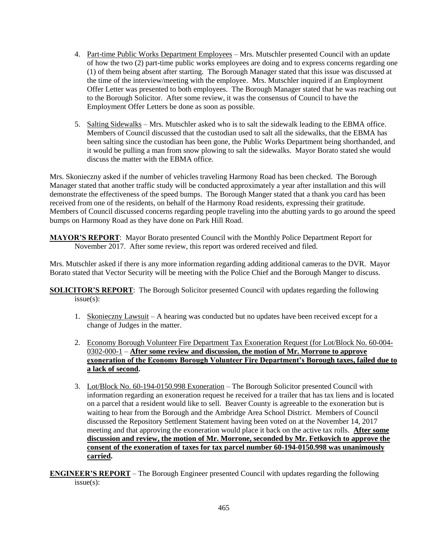- 4. Part-time Public Works Department Employees Mrs. Mutschler presented Council with an update of how the two (2) part-time public works employees are doing and to express concerns regarding one (1) of them being absent after starting. The Borough Manager stated that this issue was discussed at the time of the interview/meeting with the employee. Mrs. Mutschler inquired if an Employment Offer Letter was presented to both employees. The Borough Manager stated that he was reaching out to the Borough Solicitor. After some review, it was the consensus of Council to have the Employment Offer Letters be done as soon as possible.
- 5. Salting Sidewalks Mrs. Mutschler asked who is to salt the sidewalk leading to the EBMA office. Members of Council discussed that the custodian used to salt all the sidewalks, that the EBMA has been salting since the custodian has been gone, the Public Works Department being shorthanded, and it would be pulling a man from snow plowing to salt the sidewalks. Mayor Borato stated she would discuss the matter with the EBMA office.

Mrs. Skonieczny asked if the number of vehicles traveling Harmony Road has been checked. The Borough Manager stated that another traffic study will be conducted approximately a year after installation and this will demonstrate the effectiveness of the speed bumps. The Borough Manger stated that a thank you card has been received from one of the residents, on behalf of the Harmony Road residents, expressing their gratitude. Members of Council discussed concerns regarding people traveling into the abutting yards to go around the speed bumps on Harmony Road as they have done on Park Hill Road.

**MAYOR'S REPORT**: Mayor Borato presented Council with the Monthly Police Department Report for November 2017. After some review, this report was ordered received and filed.

Mrs. Mutschler asked if there is any more information regarding adding additional cameras to the DVR. Mayor Borato stated that Vector Security will be meeting with the Police Chief and the Borough Manger to discuss.

**SOLICITOR'S REPORT**: The Borough Solicitor presented Council with updates regarding the following issue(s):

- 1. Skonieczny Lawsuit A hearing was conducted but no updates have been received except for a change of Judges in the matter.
- 2. Economy Borough Volunteer Fire Department Tax Exoneration Request (for Lot/Block No. 60-004- 0302-000-1 – **After some review and discussion, the motion of Mr. Morrone to approve exoneration of the Economy Borough Volunteer Fire Department's Borough taxes, failed due to a lack of second.**
- 3. Lot/Block No. 60-194-0150.998 Exoneration The Borough Solicitor presented Council with information regarding an exoneration request he received for a trailer that has tax liens and is located on a parcel that a resident would like to sell. Beaver County is agreeable to the exoneration but is waiting to hear from the Borough and the Ambridge Area School District. Members of Council discussed the Repository Settlement Statement having been voted on at the November 14, 2017 meeting and that approving the exoneration would place it back on the active tax rolls. **After some discussion and review, the motion of Mr. Morrone, seconded by Mr. Fetkovich to approve the consent of the exoneration of taxes for tax parcel number 60-194-0150.998 was unanimously carried.**

**ENGINEER'S REPORT** – The Borough Engineer presented Council with updates regarding the following issue(s):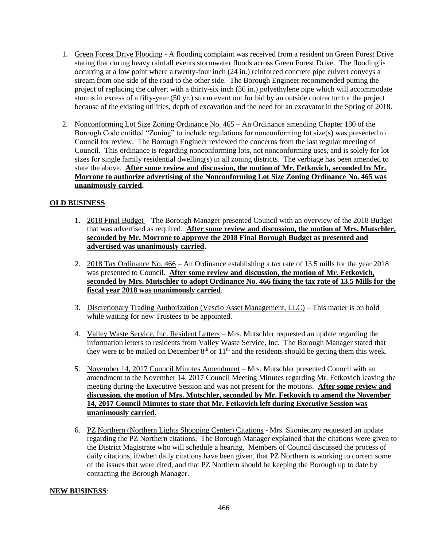- 1. Green Forest Drive Flooding A flooding complaint was received from a resident on Green Forest Drive stating that during heavy rainfall events stormwater floods across Green Forest Drive. The flooding is occurring at a low point where a twenty-four inch (24 in.) reinforced concrete pipe culvert conveys a stream from one side of the road to the other side. The Borough Engineer recommended putting the project of replacing the culvert with a thirty-six inch (36 in.) polyethylene pipe which will accommodate storms in excess of a fifty-year (50 yr.) storm event out for bid by an outside contractor for the project because of the existing utilities, depth of excavation and the need for an excavator in the Spring of 2018.
- 2. Nonconforming Lot Size Zoning Ordinance No. 465 An Ordinance amending Chapter 180 of the Borough Code entitled "Zoning" to include regulations for nonconforming lot size(s) was presented to Council for review. The Borough Engineer reviewed the concerns from the last regular meeting of Council. This ordinance is regarding nonconforming lots, not nonconforming uses, and is solely for lot sizes for single family residential dwelling(s) in all zoning districts. The verbiage has been amended to state the above. **After some review and discussion, the motion of Mr. Fetkovich, seconded by Mr. Morrone to authorize advertising of the Nonconforming Lot Size Zoning Ordinance No. 465 was unanimously carried.**

# **OLD BUSINESS**:

- 1. 2018 Final Budget The Borough Manager presented Council with an overview of the 2018 Budget that was advertised as required. **After some review and discussion, the motion of Mrs. Mutschler, seconded by Mr. Morrone to approve the 2018 Final Borough Budget as presented and advertised was unanimously carried.**
- 2. 2018 Tax Ordinance No. 466 An Ordinance establishing a tax rate of 13.5 mills for the year 2018 was presented to Council. **After some review and discussion, the motion of Mr. Fetkovich, seconded by Mrs. Mutschler to adopt Ordinance No. 466 fixing the tax rate of 13.5 Mills for the fiscal year 2018 was unanimously carried**.
- 3. Discretionary Trading Authorization (Vescio Asset Management, LLC) This matter is on hold while waiting for new Trustees to be appointed.
- 4. Valley Waste Service, Inc. Resident Letters Mrs. Mutschler requested an update regarding the information letters to residents from Valley Waste Service, Inc. The Borough Manager stated that they were to be mailed on December  $8<sup>th</sup>$  or  $11<sup>th</sup>$  and the residents should be getting them this week.
- 5. November 14, 2017 Council Minutes Amendment Mrs. Mutschler presented Council with an amendment to the November 14, 2017 Council Meeting Minutes regarding Mr. Fetkovich leaving the meeting during the Executive Session and was not present for the motions. **After some review and discussion, the motion of Mrs. Mutschler, seconded by Mr. Fetkovich to amend the November 14, 2017 Council Minutes to state that Mr. Fetkovich left during Executive Session was unanimously carried.**
- 6. PZ Northern (Northern Lights Shopping Center) Citations Mrs. Skonieczny requested an update regarding the PZ Northern citations. The Borough Manager explained that the citations were given to the District Magistrate who will schedule a hearing. Members of Council discussed the process of daily citations, if/when daily citations have been given, that PZ Northern is working to correct some of the issues that were cited, and that PZ Northern should be keeping the Borough up to date by contacting the Borough Manager.

## **NEW BUSINESS**: